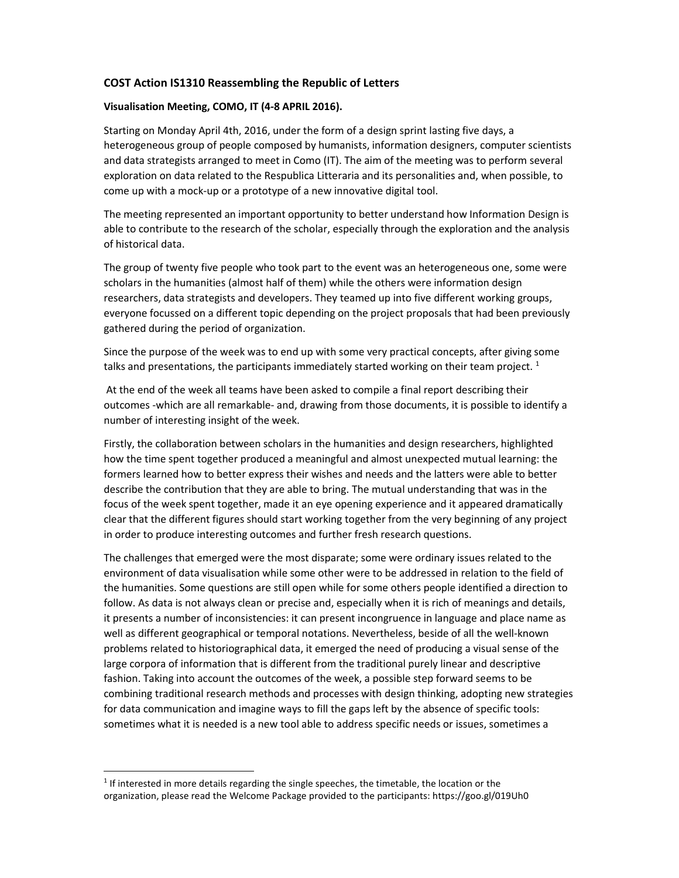# **COST Action IS1310 Reassembling the Republic of Letters**

#### **Visualisation Meeting, COMO, IT (4-8 APRIL 2016).**

Starting on Monday April 4th, 2016, under the form of a design sprint lasting five days, a heterogeneous group of people composed by humanists, information designers, computer scientists and data strategists arranged to meet in Como (IT). The aim of the meeting was to perform several exploration on data related to the Respublica Litteraria and its personalities and, when possible, to come up with a mock-up or a prototype of a new innovative digital tool.

The meeting represented an important opportunity to better understand how Information Design is able to contribute to the research of the scholar, especially through the exploration and the analysis of historical data.

The group of twenty five people who took part to the event was an heterogeneous one, some were scholars in the humanities (almost half of them) while the others were information design researchers, data strategists and developers. They teamed up into five different working groups, everyone focussed on a different topic depending on the project proposals that had been previously gathered during the period of organization.

Since the purpose of the week was to end up with some very practical concepts, after giving some talks and presentations, the participants immediately started working on their team project.  $1$ 

 At the end of the week all teams have been asked to compile a final report describing their outcomes -which are all remarkable- and, drawing from those documents, it is possible to identify a number of interesting insight of the week.

Firstly, the collaboration between scholars in the humanities and design researchers, highlighted how the time spent together produced a meaningful and almost unexpected mutual learning: the formers learned how to better express their wishes and needs and the latters were able to better describe the contribution that they are able to bring. The mutual understanding that was in the focus of the week spent together, made it an eye opening experience and it appeared dramatically clear that the different figures should start working together from the very beginning of any project in order to produce interesting outcomes and further fresh research questions.

The challenges that emerged were the most disparate; some were ordinary issues related to the environment of data visualisation while some other were to be addressed in relation to the field of the humanities. Some questions are still open while for some others people identified a direction to follow. As data is not always clean or precise and, especially when it is rich of meanings and details, it presents a number of inconsistencies: it can present incongruence in language and place name as well as different geographical or temporal notations. Nevertheless, beside of all the well-known problems related to historiographical data, it emerged the need of producing a visual sense of the large corpora of information that is different from the traditional purely linear and descriptive fashion. Taking into account the outcomes of the week, a possible step forward seems to be combining traditional research methods and processes with design thinking, adopting new strategies for data communication and imagine ways to fill the gaps left by the absence of specific tools: sometimes what it is needed is a new tool able to address specific needs or issues, sometimes a

<sup>&</sup>lt;sup>1</sup> If interested in more details regarding the single speeches, the timetable, the location or the organization, please read the Welcome Package provided to the participants: https://goo.gl/019Uh0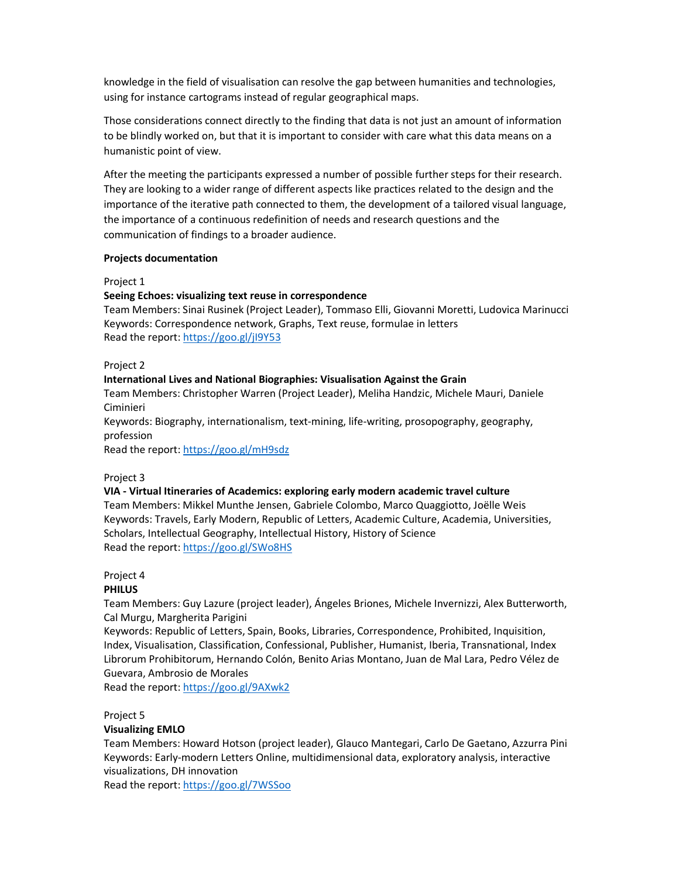knowledge in the field of visualisation can resolve the gap between humanities and technologies, using for instance cartograms instead of regular geographical maps.

Those considerations connect directly to the finding that data is not just an amount of information to be blindly worked on, but that it is important to consider with care what this data means on a humanistic point of view.

After the meeting the participants expressed a number of possible further steps for their research. They are looking to a wider range of different aspects like practices related to the design and the importance of the iterative path connected to them, the development of a tailored visual language, the importance of a continuous redefinition of needs and research questions and the communication of findings to a broader audience.

#### **Projects documentation**

Project 1

## **Seeing Echoes: visualizing text reuse in correspondence**

Team Members: Sinai Rusinek (Project Leader), Tommaso Elli, Giovanni Moretti, Ludovica Marinucci Keywords: Correspondence network, Graphs, Text reuse, formulae in letters Read the report: https://goo.gl/jI9Y53

Project 2

## **International Lives and National Biographies: Visualisation Against the Grain**

Team Members: Christopher Warren (Project Leader), Meliha Handzic, Michele Mauri, Daniele Ciminieri

Keywords: Biography, internationalism, text-mining, life-writing, prosopography, geography, profession

Read the report: https://goo.gl/mH9sdz

Project 3

#### **VIA - Virtual Itineraries of Academics: exploring early modern academic travel culture**

Team Members: Mikkel Munthe Jensen, Gabriele Colombo, Marco Quaggiotto, Joëlle Weis Keywords: Travels, Early Modern, Republic of Letters, Academic Culture, Academia, Universities, Scholars, Intellectual Geography, Intellectual History, History of Science Read the report: https://goo.gl/SWo8HS

## Project 4

## **PHILUS**

Team Members: Guy Lazure (project leader), Ángeles Briones, Michele Invernizzi, Alex Butterworth, Cal Murgu, Margherita Parigini

Keywords: Republic of Letters, Spain, Books, Libraries, Correspondence, Prohibited, Inquisition, Index, Visualisation, Classification, Confessional, Publisher, Humanist, Iberia, Transnational, Index Librorum Prohibitorum, Hernando Colón, Benito Arias Montano, Juan de Mal Lara, Pedro Vélez de Guevara, Ambrosio de Morales

Read the report: https://goo.gl/9AXwk2

Project 5

## **Visualizing EMLO**

Team Members: Howard Hotson (project leader), Glauco Mantegari, Carlo De Gaetano, Azzurra Pini Keywords: Early-modern Letters Online, multidimensional data, exploratory analysis, interactive visualizations, DH innovation

Read the report: https://goo.gl/7WSSoo